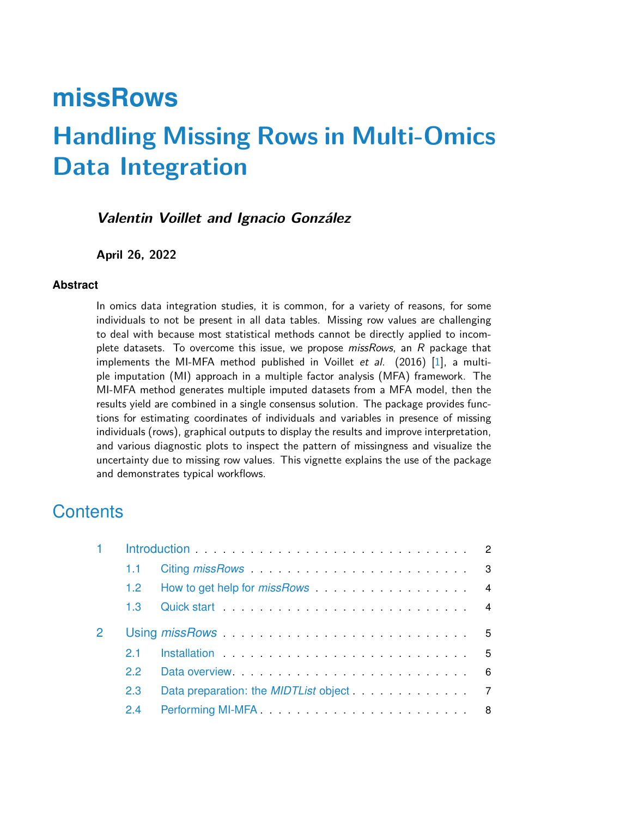# **missRows Handling Missing Rows in Multi-Omics Data Integration**

## **Valentin Voillet and Ignacio González**

#### **April 26, 2022**

#### **Abstract**

In omics data integration studies, it is common, for a variety of reasons, for some individuals to not be present in all data tables. Missing row values are challenging to deal with because most statistical methods cannot be directly applied to incomplete datasets. To overcome this issue, we propose *missRows*, an  $R$  package that implements the MI-MFA method published in Voillet et al. (2016) [\[1\]](#page-19-0), a multiple imputation (MI) approach in a multiple factor analysis (MFA) framework. The MI-MFA method generates multiple imputed datasets from a MFA model, then the results yield are combined in a single consensus solution. The package provides functions for estimating coordinates of individuals and variables in presence of missing individuals (rows), graphical outputs to display the results and improve interpretation, and various diagnostic plots to inspect the pattern of missingness and visualize the uncertainty due to missing row values. This vignette explains the use of the package and demonstrates typical workflows.

## **Contents**

| Introduction entertainment and the control of the control of the control of the control of the control of the control of the control of the control of the control of the control of the control of the control of the control |                                                                                                                 |  |
|--------------------------------------------------------------------------------------------------------------------------------------------------------------------------------------------------------------------------------|-----------------------------------------------------------------------------------------------------------------|--|
| 1.1                                                                                                                                                                                                                            | Citing missRows 3                                                                                               |  |
| 1.2 <sub>1</sub>                                                                                                                                                                                                               | How to get help for <i>missRows</i> 4                                                                           |  |
| 1.3                                                                                                                                                                                                                            |                                                                                                                 |  |
|                                                                                                                                                                                                                                | Using missRows and the contract of the state of the state of the state of the state of the state of the state o |  |
| 21                                                                                                                                                                                                                             | Installation 5                                                                                                  |  |
| 22                                                                                                                                                                                                                             |                                                                                                                 |  |
| 2.3                                                                                                                                                                                                                            | Data preparation: the <i>MIDTList</i> object 7                                                                  |  |
| 2.4                                                                                                                                                                                                                            |                                                                                                                 |  |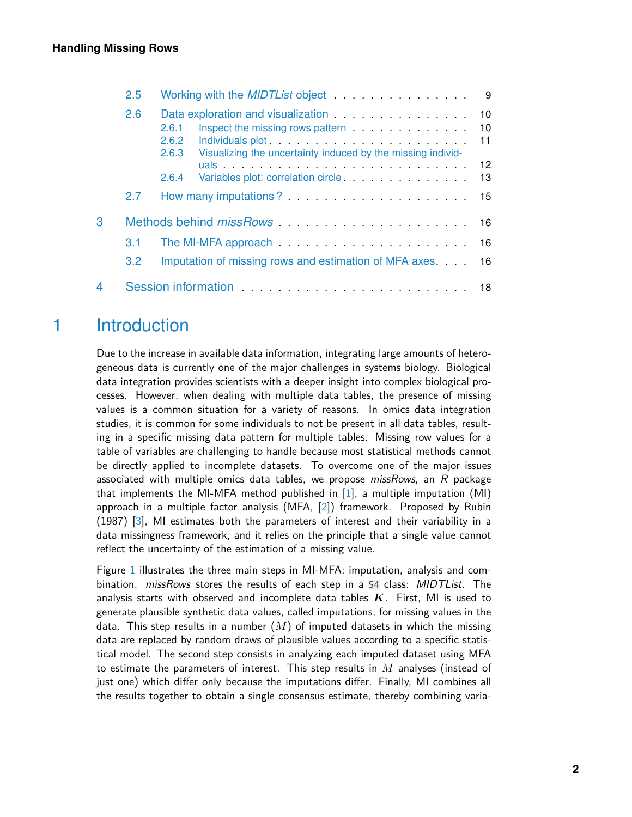|   | Working with the <i>MIDTList</i> object <b>All Access of Access of Access</b> Manual Access of Manual Access of Access of Access of Access of Access of Access of Access of Access of Access of Access of Access of Access of Access of<br>- 9 |                                                                                                                                                                                                                                                                                                                                                                                            |  |  |
|---|------------------------------------------------------------------------------------------------------------------------------------------------------------------------------------------------------------------------------------------------|--------------------------------------------------------------------------------------------------------------------------------------------------------------------------------------------------------------------------------------------------------------------------------------------------------------------------------------------------------------------------------------------|--|--|
|   | 2.6                                                                                                                                                                                                                                            | Data exploration and visualization <b>Constanting Constanting Constanting Constanting Constanting Constanting Constanting Constanting Constanting Constanting Constanting Constanting Constanting Constanting Constanting Consta</b><br>10<br>Inspect the missing rows pattern <b>container container container container container container container </b><br>2.6.1<br>10<br>2.6.2<br>11 |  |  |
|   |                                                                                                                                                                                                                                                | Visualizing the uncertainty induced by the missing individ-<br>2.6.3<br>$12 \overline{ }$<br>uals and the contract of the contract of the contract of the contract of the contract of the contract of the contract of the contract of the contract of the contract of the contract of the contract of the contract of the c<br>2.6.4<br>13                                                 |  |  |
|   | 2.7                                                                                                                                                                                                                                            |                                                                                                                                                                                                                                                                                                                                                                                            |  |  |
| 3 | Methods behind missRows Manual Account 16                                                                                                                                                                                                      |                                                                                                                                                                                                                                                                                                                                                                                            |  |  |
|   | 3.1                                                                                                                                                                                                                                            | The MI-MFA approach $\ldots \ldots \ldots \ldots \ldots \ldots \ldots$                                                                                                                                                                                                                                                                                                                     |  |  |
|   | 3.2                                                                                                                                                                                                                                            | Imputation of missing rows and estimation of MFA axes.<br>16                                                                                                                                                                                                                                                                                                                               |  |  |
| 4 |                                                                                                                                                                                                                                                | Session information entertainment and the session information                                                                                                                                                                                                                                                                                                                              |  |  |

# <span id="page-1-0"></span>1 Introduction

Due to the increase in available data information, integrating large amounts of heterogeneous data is currently one of the major challenges in systems biology. Biological data integration provides scientists with a deeper insight into complex biological processes. However, when dealing with multiple data tables, the presence of missing values is a common situation for a variety of reasons. In omics data integration studies, it is common for some individuals to not be present in all data tables, resulting in a specific missing data pattern for multiple tables. Missing row values for a table of variables are challenging to handle because most statistical methods cannot be directly applied to incomplete datasets. To overcome one of the major issues associated with multiple omics data tables, we propose  $misSRows$ , an R package that implements the MI-MFA method published in [\[1\]](#page-19-0), a multiple imputation (MI) approach in a multiple factor analysis (MFA, [\[2\]](#page-19-1)) framework. Proposed by Rubin (1987) [\[3\]](#page-19-2), MI estimates both the parameters of interest and their variability in a data missingness framework, and it relies on the principle that a single value cannot reflect the uncertainty of the estimation of a missing value.

Figure [1](#page-2-2) illustrates the three main steps in MI-MFA: imputation, analysis and combination. *missRows* stores the results of each step in a S4 class: *MIDTList*. The analysis starts with observed and incomplete data tables *K*. First, MI is used to generate plausible synthetic data values, called imputations, for missing values in the data. This step results in a number (*M*) of imputed datasets in which the missing data are replaced by random draws of plausible values according to a specific statistical model. The second step consists in analyzing each imputed dataset using MFA to estimate the parameters of interest. This step results in *M* analyses (instead of just one) which differ only because the imputations differ. Finally, MI combines all the results together to obtain a single consensus estimate, thereby combining varia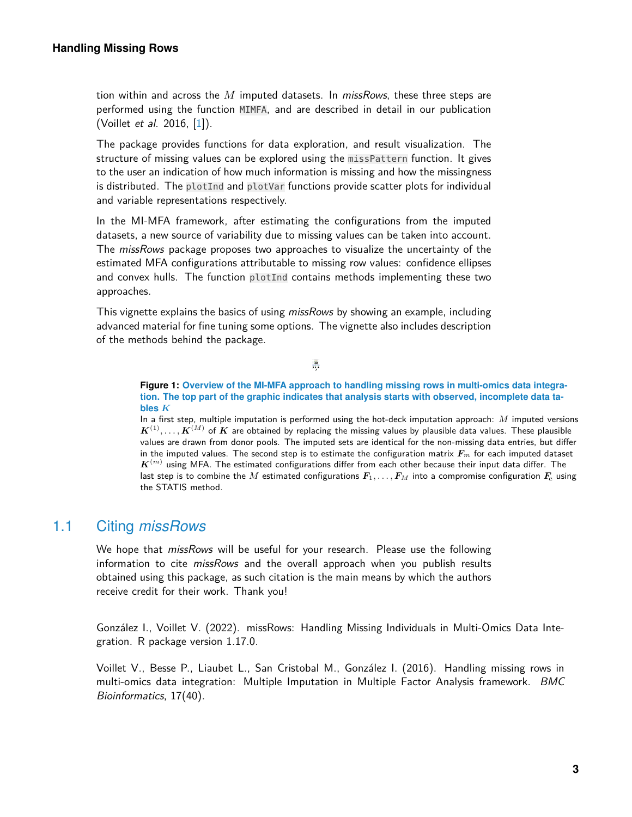tion within and across the *M* imputed datasets. In missRows, these three steps are performed using the function MIMFA, and are described in detail in our publication (Voillet et al. 2016, [\[1\]](#page-19-0)).

The package provides functions for data exploration, and result visualization. The structure of missing values can be explored using the missPattern function. It gives to the user an indication of how much information is missing and how the missingness is distributed. The plotInd and plotVar functions provide scatter plots for individual and variable representations respectively.

In the MI-MFA framework, after estimating the configurations from the imputed datasets, a new source of variability due to missing values can be taken into account. The *missRows* package proposes two approaches to visualize the uncertainty of the estimated MFA configurations attributable to missing row values: confidence ellipses and convex hulls. The function plotInd contains methods implementing these two approaches.

<span id="page-2-2"></span>This vignette explains the basics of using *missRows* by showing an example, including advanced material for fine tuning some options. The vignette also includes description of the methods behind the package.

> ÷ STATIS

**Figure 1: Overview of the MI-MFA approach to handling missing rows in multi-omics data integration. The top part of the graphic indicates that analysis starts with observed, incomplete data tables** *K*

In a first step, multiple imputation is performed using the hot-deck imputation approach: *M* imputed versions  $\bm{K}^{(1)}, \ldots, \bm{K}^{(M)}$  of  $\bm{K}$  are obtained by replacing the missing values by plausible data values. These plausible values are drawn from donor pools. The imputed sets are identical for the non-missing data entries, but differ in the imputed values. The second step is to estimate the configuration matrix *F<sup>m</sup>* for each imputed dataset  $\boldsymbol{K}^{(m)}$  using MFA. The estimated configurations differ from each other because their input data differ. The last step is to combine the *M* estimated configurations  $F_1, \ldots, F_M$  into a compromise configuration  $F_c$  using the STATIS method.

## 1.1 Citing *missRows*

<span id="page-2-0"></span>We hope that *missRows* will be useful for your research. Please use the following information to cite *missRows* and the overall approach when you publish results obtained using this package, as such citation is the main means by which the authors receive credit for their work. Thank you!

González I., Voillet V. (2022). missRows: Handling Missing Individuals in Multi-Omics Data Integration. R package version 1.17.0.

<span id="page-2-1"></span>Voillet V., Besse P., Liaubet L., San Cristobal M., González I. (2016). Handling missing rows in multi-omics data integration: Multiple Imputation in Multiple Factor Analysis framework. BMC Bioinformatics, 17(40).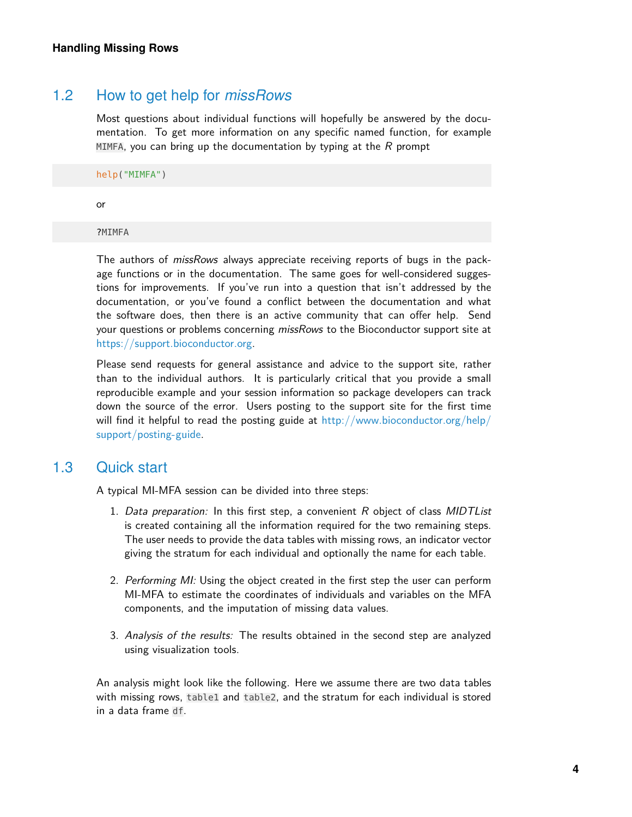## 1.2 How to get help for *missRows*

Most questions about individual functions will hopefully be answered by the documentation. To get more information on any specific named function, for example MIMFA, you can bring up the documentation by typing at the  $R$  prompt

help("MIMFA")

or

?MIMFA

The authors of *missRows* always appreciate receiving reports of bugs in the package functions or in the documentation. The same goes for well-considered suggestions for improvements. If you've run into a question that isn't addressed by the documentation, or you've found a conflict between the documentation and what the software does, then there is an active community that can offer help. Send your questions or problems concerning *missRows* to the Bioconductor support site at [https://support.bioconductor.org.](https://support.bioconductor.org)

Please send requests for general assistance and advice to the support site, rather than to the individual authors. It is particularly critical that you provide a small reproducible example and your session information so package developers can track down the source of the error. Users posting to the support site for the first time will find it helpful to read the posting guide at [http://www.bioconductor.org/help/](http://www.bioconductor.org/help/support/posting-guide) [support/posting-guide.](http://www.bioconductor.org/help/support/posting-guide)

## 1.3 Quick start

<span id="page-3-0"></span>A typical MI-MFA session can be divided into three steps:

- 1. Data preparation: In this first step, a convenient  $R$  object of class MIDTList is created containing all the information required for the two remaining steps. The user needs to provide the data tables with missing rows, an indicator vector giving the stratum for each individual and optionally the name for each table.
- 2. Performing MI: Using the object created in the first step the user can perform MI-MFA to estimate the coordinates of individuals and variables on the MFA components, and the imputation of missing data values.
- 3. Analysis of the results: The results obtained in the second step are analyzed using visualization tools.

An analysis might look like the following. Here we assume there are two data tables with missing rows, table1 and table2, and the stratum for each individual is stored in a data frame df.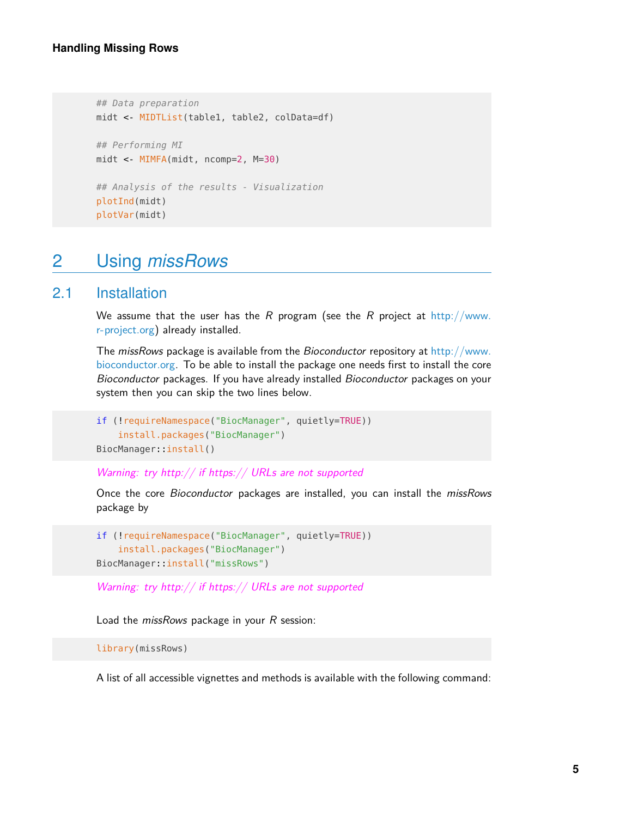```
## Data preparation
midt <- MIDTList(table1, table2, colData=df)
## Performing MI
midt <- MIMFA(midt, ncomp=2, M=30)
## Analysis of the results - Visualization
plotInd(midt)
plotVar(midt)
```
# <span id="page-4-0"></span>2 Using *missRows*

## 2.1 Installation

<span id="page-4-1"></span>We assume that the user has the R program (see the R project at [http://www.](http://www.r-project.org) [r-project.org\)](http://www.r-project.org) already installed.

The missRows package is available from the Bioconductor repository at [http://www.](http://www.bioconductor.org) [bioconductor.org.](http://www.bioconductor.org) To be able to install the package one needs first to install the core Bioconductor packages. If you have already installed Bioconductor packages on your system then you can skip the two lines below.

```
if (!requireNamespace("BiocManager", quietly=TRUE))
   install.packages("BiocManager")
BiocManager::install()
```
Warning: try http:// if https:// URLs are not supported

Once the core Bioconductor packages are installed, you can install the missRows package by

```
if (!requireNamespace("BiocManager", quietly=TRUE))
    install.packages("BiocManager")
BiocManager::install("missRows")
```
Warning: try http:// if https:// URLs are not supported

Load the *missRows* package in your R session:

```
library(missRows)
```
A list of all accessible vignettes and methods is available with the following command: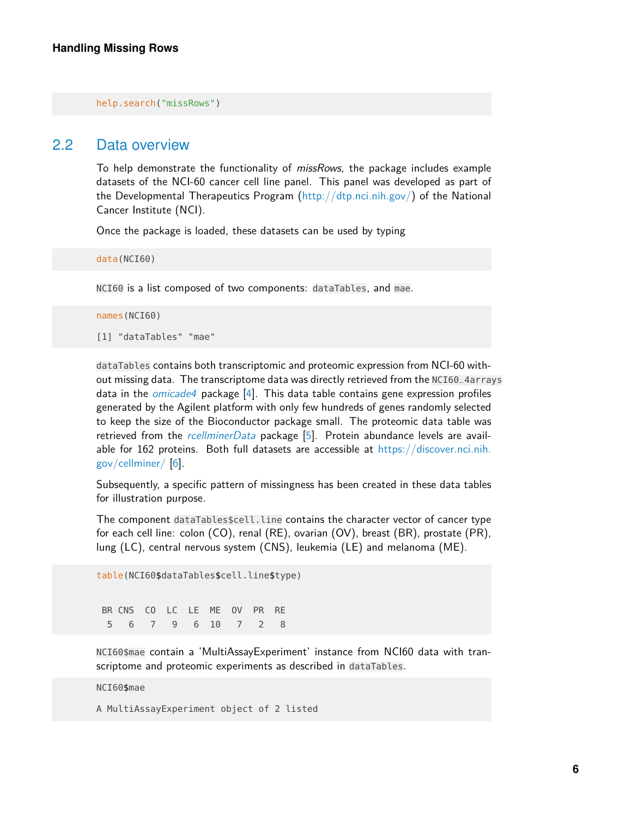<span id="page-5-0"></span>help.search("missRows")

#### 2.2 Data overview

To help demonstrate the functionality of *missRows*, the package includes example datasets of the NCI-60 cancer cell line panel. This panel was developed as part of the Developmental Therapeutics Program [\(http://dtp.nci.nih.gov/\)](http://dtp.nci.nih.gov/) of the National Cancer Institute (NCI).

Once the package is loaded, these datasets can be used by typing

data(NCI60)

NCI60 is a list composed of two components: dataTables, and mae.

```
names(NCI60)
[1] "dataTables" "mae"
```
dataTables contains both transcriptomic and proteomic expression from NCI-60 without missing data. The transcriptome data was directly retrieved from the NCI60\_4arrays data in the [omicade4](http://bioconductor.org/packages/omicade4) package [\[4\]](#page-19-3). This data table contains gene expression profiles generated by the Agilent platform with only few hundreds of genes randomly selected to keep the size of the Bioconductor package small. The proteomic data table was retrieved from the [rcellminerData](http://bioconductor.org/packages/rcellminerData) package [\[5\]](#page-19-4). Protein abundance levels are available for 162 proteins. Both full datasets are accessible at [https://discover.nci.nih.](https://discover.nci.nih.gov/cellminer/) [gov/cellminer/](https://discover.nci.nih.gov/cellminer/) [\[6\]](#page-19-5).

Subsequently, a specific pattern of missingness has been created in these data tables for illustration purpose.

The component dataTables\$cell.line contains the character vector of cancer type for each cell line: colon (CO), renal (RE), ovarian (OV), breast (BR), prostate (PR), lung (LC), central nervous system (CNS), leukemia (LE) and melanoma (ME).

```
table(NCI60$dataTables$cell.line$type)
BR CNS CO LC LE ME OV PR RE
 5 6 7 9 6 10 7 2 8
```
NCI60\$mae contain a 'MultiAssayExperiment' instance from NCI60 data with transcriptome and proteomic experiments as described in dataTables.

#### NCI60\$mae

A MultiAssayExperiment object of 2 listed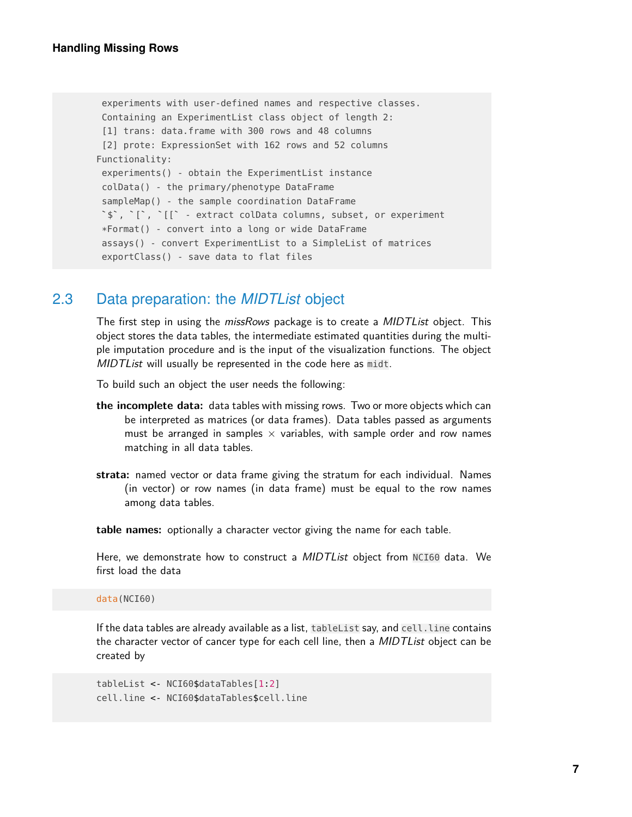```
experiments with user-defined names and respective classes.
Containing an ExperimentList class object of length 2:
 [1] trans: data.frame with 300 rows and 48 columns
 [2] prote: ExpressionSet with 162 rows and 52 columns
Functionality:
 experiments() - obtain the ExperimentList instance
`colData() - the primary/phenotype DataFrame
 sampleMap() - the sample coordination DataFrame
 $`, `[`, `[[` - extract colData columns, subset, or experiment
*Format() - convert into a long or wide DataFrame
assays() - convert ExperimentList to a SimpleList of matrices
exportClass() - save data to flat files
```
## 2.3 Data preparation: the *MIDTList* object

<span id="page-6-0"></span>The first step in using the missRows package is to create a MIDTList object. This object stores the data tables, the intermediate estimated quantities during the multiple imputation procedure and is the input of the visualization functions. The object MIDTList will usually be represented in the code here as midt.

To build such an object the user needs the following:

- **the incomplete data:** data tables with missing rows. Two or more objects which can be interpreted as matrices (or data frames). Data tables passed as arguments must be arranged in samples  $\times$  variables, with sample order and row names matching in all data tables.
- **strata:** named vector or data frame giving the stratum for each individual. Names (in vector) or row names (in data frame) must be equal to the row names among data tables.

**table names:** optionally a character vector giving the name for each table.

Here, we demonstrate how to construct a *MIDTList* object from NCI60 data. We first load the data

data(NCI60)

If the data tables are already available as a list, table List say, and cell. Line contains the character vector of cancer type for each cell line, then a *MIDTList* object can be created by

tableList <- NCI60\$dataTables[1:2] cell.line <- NCI60\$dataTables\$cell.line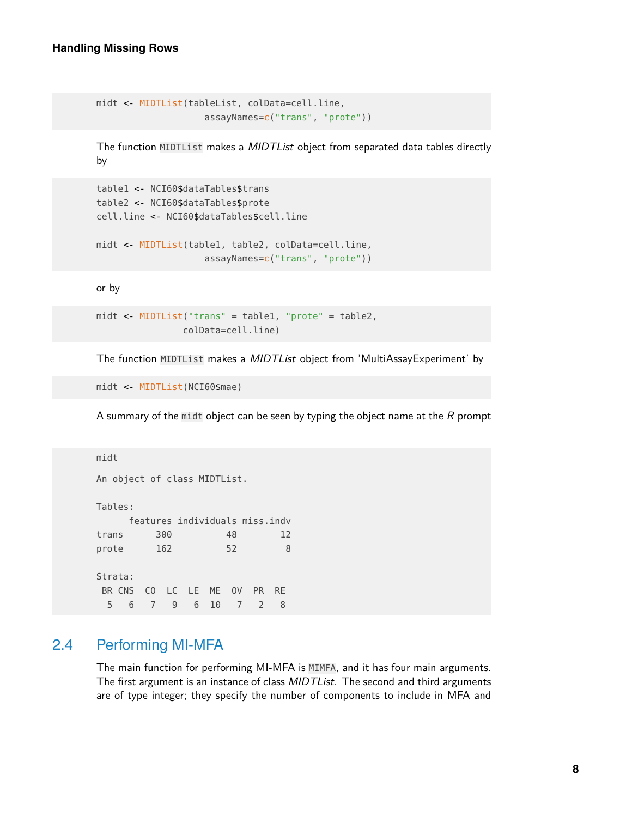```
midt <- MIDTList(tableList, colData=cell.line,
                    assayNames=c("trans", "prote"))
```
The function MIDTList makes a *MIDTList* object from separated data tables directly by

```
table1 <- NCI60$dataTables$trans
table2 <- NCI60$dataTables$prote
cell.line <- NCI60$dataTables$cell.line
midt <- MIDTList(table1, table2, colData=cell.line,
```
assayNames=c("trans", "prote"))

or by

```
midt <- MIDTList("trans" = table1, "prote" = table2,
                colData=cell.line)
```
The function MIDTList makes a MIDTList object from 'MultiAssayExperiment' by

midt <- MIDTList(NCI60\$mae)

A summary of the midt object can be seen by typing the object name at the  $R$  prompt

```
midt
An object of class MIDTList.
Tables:
    features individuals miss.indv
trans 300 48 12
prote 162 52 8
Strata:
BR CNS CO LC LE ME OV PR RE
 5 6 7 9 6 10 7 2 8
```
## 2.4 Performing MI-MFA

<span id="page-7-0"></span>The main function for performing MI-MFA is MIMFA, and it has four main arguments. The first argument is an instance of class *MIDTList*. The second and third arguments are of type integer; they specify the number of components to include in MFA and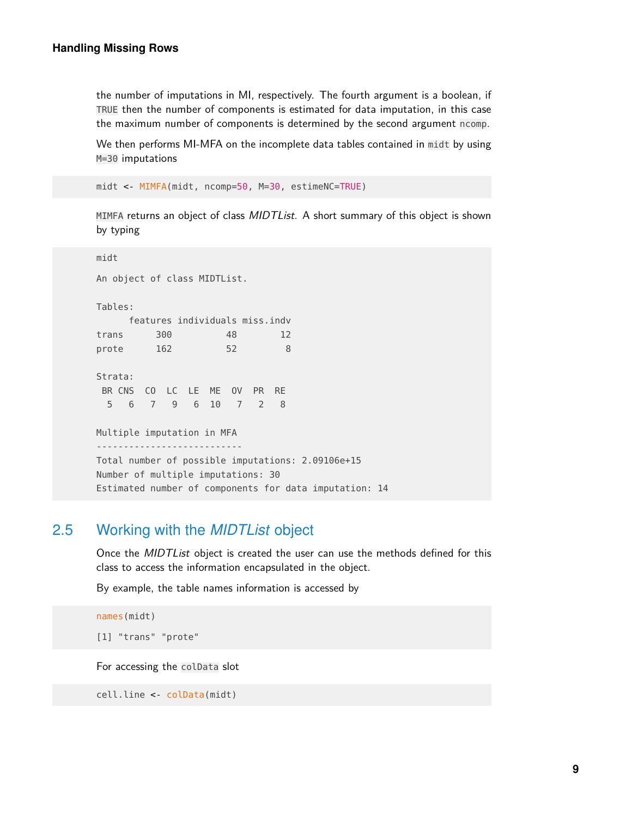the number of imputations in MI, respectively. The fourth argument is a boolean, if TRUE then the number of components is estimated for data imputation, in this case the maximum number of components is determined by the second argument ncomp.

We then performs MI-MFA on the incomplete data tables contained in midt by using M=30 imputations

```
midt <- MIMFA(midt, ncomp=50, M=30, estimeNC=TRUE)
```
MIMFA returns an object of class MIDTList. A short summary of this object is shown by typing

midt An object of class MIDTList. Tables: features individuals miss.indv trans 300 48 12 prote 162 52 8 Strata: BR CNS CO LC LE ME OV PR RE 5 6 7 9 6 10 7 2 8 Multiple imputation in MFA --------------------------- Total number of possible imputations: 2.09106e+15 Number of multiple imputations: 30 Estimated number of components for data imputation: 14

## 2.5 Working with the *MIDTList* object

<span id="page-8-0"></span>Once the MIDTList object is created the user can use the methods defined for this class to access the information encapsulated in the object.

By example, the table names information is accessed by

```
names(midt)
```
[1] "trans" "prote"

For accessing the colData slot

```
cell.line <- colData(midt)
```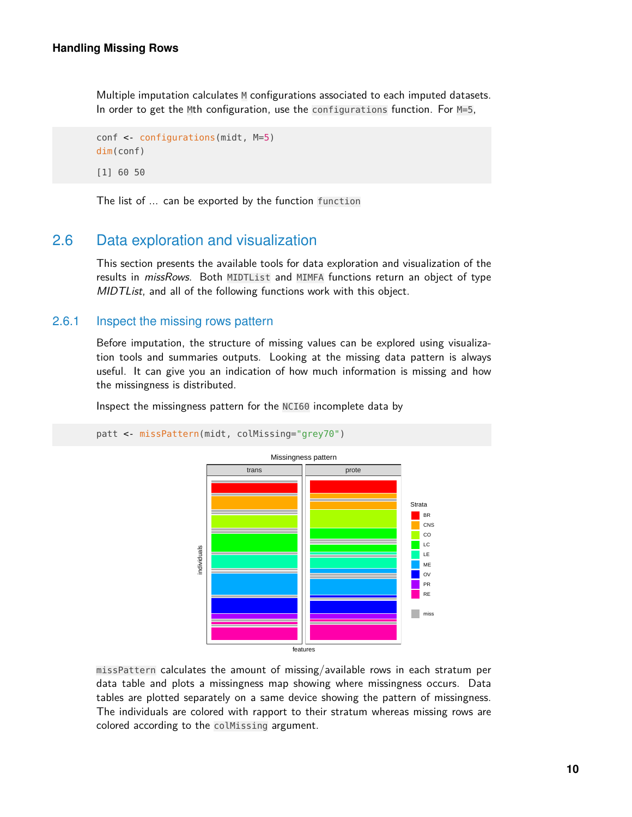Multiple imputation calculates M configurations associated to each imputed datasets. In order to get the Mth configuration, use the configurations function. For M=5,

```
conf <- configurations(midt, M=5)
dim(conf)
[1] 60 50
```
<span id="page-9-0"></span>The list of ... can be exported by the function function

## 2.6 Data exploration and visualization

<span id="page-9-1"></span>This section presents the available tools for data exploration and visualization of the results in missRows. Both MIDTList and MIMFA functions return an object of type MIDT List, and all of the following functions work with this object.

#### 2.6.1 Inspect the missing rows pattern

Before imputation, the structure of missing values can be explored using visualization tools and summaries outputs. Looking at the missing data pattern is always useful. It can give you an indication of how much information is missing and how the missingness is distributed.

Inspect the missingness pattern for the NCI60 incomplete data by



patt <- missPattern(midt, colMissing="grey70")

missPattern calculates the amount of missing/available rows in each stratum per data table and plots a missingness map showing where missingness occurs. Data tables are plotted separately on a same device showing the pattern of missingness. The individuals are colored with rapport to their stratum whereas missing rows are colored according to the colMissing argument.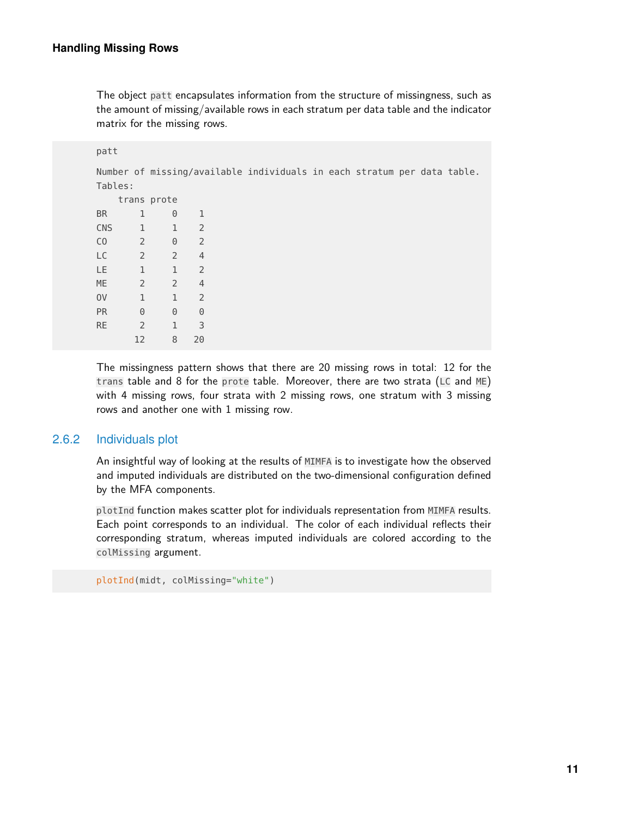The object patt encapsulates information from the structure of missingness, such as the amount of missing/available rows in each stratum per data table and the indicator matrix for the missing rows.

```
patt
Number of missing/available individuals in each stratum per data table.
Tables:
  trans prote
BR 1 0 1
CNS 1 1 2
CO 2 0 2
LC 2 2 4
LE 1 1 2
ME 2 2 4
OV 1 1 2
PR 0 0 0
RE 2 1 3
    12 8 20
```
The missingness pattern shows that there are 20 missing rows in total: 12 for the trans table and 8 for the prote table. Moreover, there are two strata (LC and ME) with 4 missing rows, four strata with 2 missing rows, one stratum with 3 missing rows and another one with 1 missing row.

#### 2.6.2 Individuals plot

<span id="page-10-0"></span>An insightful way of looking at the results of MIMFA is to investigate how the observed and imputed individuals are distributed on the two-dimensional configuration defined by the MFA components.

plotInd function makes scatter plot for individuals representation from MIMFA results. Each point corresponds to an individual. The color of each individual reflects their corresponding stratum, whereas imputed individuals are colored according to the colMissing argument.

```
plotInd(midt, colMissing="white")
```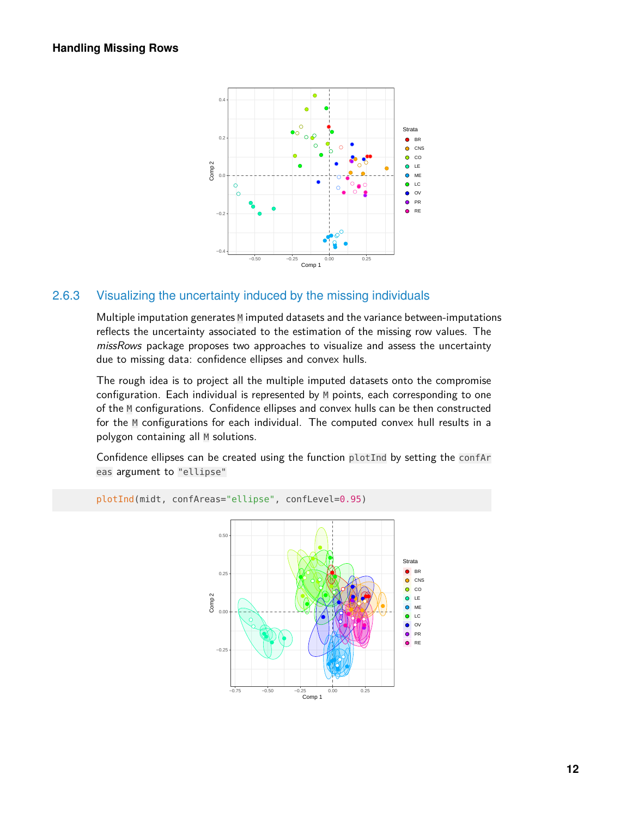

#### 2.6.3 Visualizing the uncertainty induced by the missing individuals

<span id="page-11-0"></span>Multiple imputation generates  $M$  imputed datasets and the variance between-imputations reflects the uncertainty associated to the estimation of the missing row values. The missRows package proposes two approaches to visualize and assess the uncertainty due to missing data: confidence ellipses and convex hulls.

The rough idea is to project all the multiple imputed datasets onto the compromise configuration. Each individual is represented by M points, each corresponding to one of the M configurations. Confidence ellipses and convex hulls can be then constructed for the M configurations for each individual. The computed convex hull results in a polygon containing all M solutions.

Confidence ellipses can be created using the function plotInd by setting the confAr eas argument to "ellipse"



**12**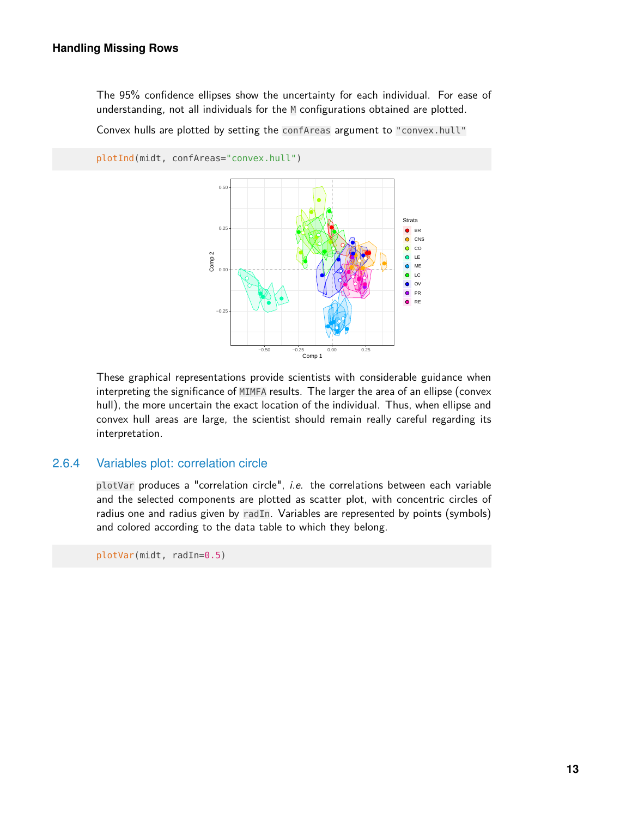The 95% confidence ellipses show the uncertainty for each individual. For ease of understanding, not all individuals for the M configurations obtained are plotted.

Convex hulls are plotted by setting the confAreas argument to "convex.hull"



These graphical representations provide scientists with considerable guidance when interpreting the significance of MIMFA results. The larger the area of an ellipse (convex hull), the more uncertain the exact location of the individual. Thus, when ellipse and convex hull areas are large, the scientist should remain really careful regarding its interpretation.

#### 2.6.4 Variables plot: correlation circle

<span id="page-12-0"></span>plotVar produces a "correlation circle", i.e. the correlations between each variable and the selected components are plotted as scatter plot, with concentric circles of radius one and radius given by radIn. Variables are represented by points (symbols) and colored according to the data table to which they belong.

plotVar(midt, radIn=0.5)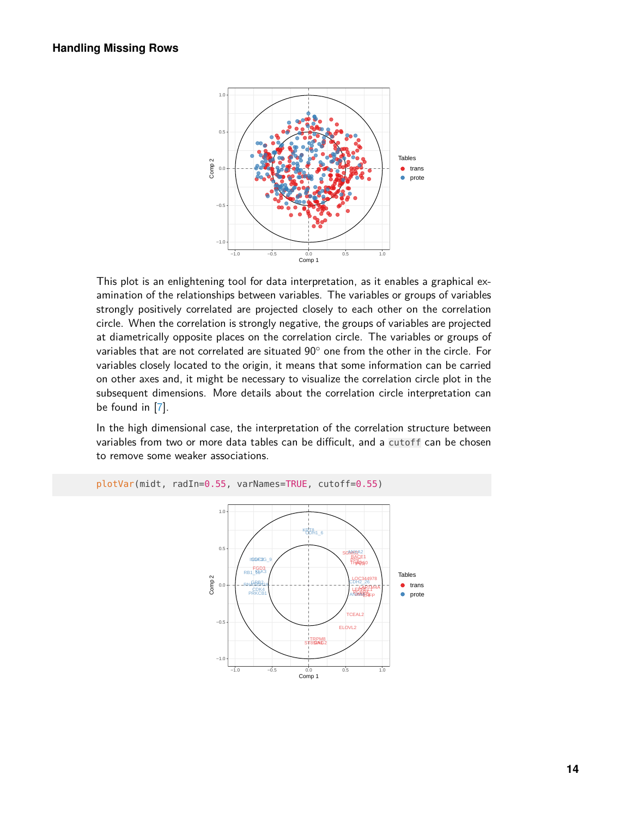

This plot is an enlightening tool for data interpretation, as it enables a graphical examination of the relationships between variables. The variables or groups of variables strongly positively correlated are projected closely to each other on the correlation circle. When the correlation is strongly negative, the groups of variables are projected at diametrically opposite places on the correlation circle. The variables or groups of variables that are not correlated are situated 90◦ one from the other in the circle. For variables closely located to the origin, it means that some information can be carried on other axes and, it might be necessary to visualize the correlation circle plot in the subsequent dimensions. More details about the correlation circle interpretation can be found in [\[7\]](#page-19-6).

In the high dimensional case, the interpretation of the correlation structure between variables from two or more data tables can be difficult, and a cutoff can be chosen to remove some weaker associations.



<span id="page-13-0"></span>plotVar(midt, radIn=0.55, varNames=TRUE, cutoff=0.55)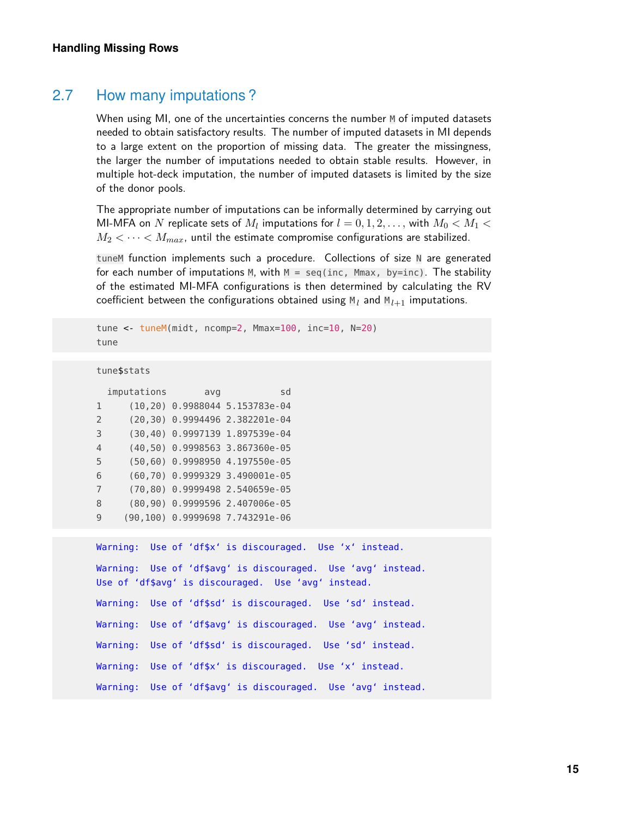## 2.7 How many imputations ?

When using MI, one of the uncertainties concerns the number M of imputed datasets needed to obtain satisfactory results. The number of imputed datasets in MI depends to a large extent on the proportion of missing data. The greater the missingness, the larger the number of imputations needed to obtain stable results. However, in multiple hot-deck imputation, the number of imputed datasets is limited by the size of the donor pools.

The appropriate number of imputations can be informally determined by carrying out MI-MFA on  $N$  replicate sets of  $M_l$  imputations for  $l=0,1,2,\ldots,$  with  $M_0 < M_1 <$  $M_2 < \cdots < M_{max}$ , until the estimate compromise configurations are stabilized.

tuneM function implements such a procedure. Collections of size N are generated for each number of imputations M, with  $M = \text{seq}(inc, Mmax, by=inc)$ . The stability of the estimated MI-MFA configurations is then determined by calculating the RV coefficient between the configurations obtained using  $M_l$  and  $M_{l+1}$  imputations.

```
tune <- tuneM(midt, ncomp=2, Mmax=100, inc=10, N=20)
tune
tune$stats
  imputations avg sd
1 (10,20) 0.9988044 5.153783e-04
2 (20,30) 0.9994496 2.382201e-04
3 (30,40) 0.9997139 1.897539e-04
4 (40,50) 0.9998563 3.867360e-05
5 (50,60) 0.9998950 4.197550e-05
6 (60,70) 0.9999329 3.490001e-05
7 (70,80) 0.9999498 2.540659e-05
8 (80,90) 0.9999596 2.407006e-05
9 (90,100) 0.9999698 7.743291e-06
Warning: Use of 'df$x' is discouraged. Use 'x' instead.
Warning: Use of 'df$avg' is discouraged. Use 'avg' instead.
Use of 'df$avg' is discouraged. Use 'avg' instead.
Warning: Use of 'df$sd' is discouraged. Use 'sd' instead.
Warning: Use of 'df$avg' is discouraged. Use 'avg' instead.
Warning: Use of 'df$sd' is discouraged. Use 'sd' instead.
Warning: Use of 'df$x' is discouraged. Use 'x' instead.
Warning: Use of 'df$avg' is discouraged. Use 'avg' instead.
```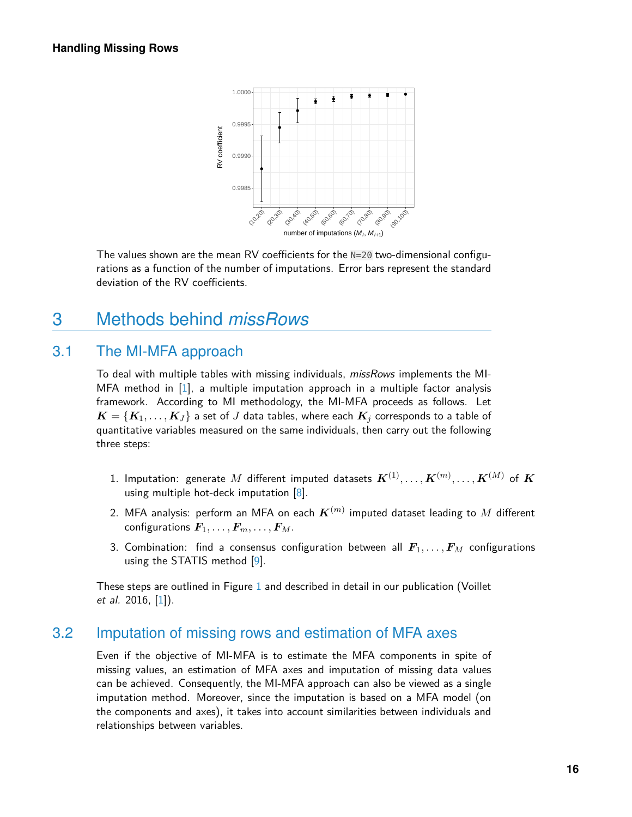

<span id="page-15-0"></span>The values shown are the mean RV coefficients for the N=20 two-dimensional configurations as a function of the number of imputations. Error bars represent the standard deviation of the RV coefficients.

# 3 Methods behind *missRows*

## 3.1 The MI-MFA approach

<span id="page-15-1"></span>To deal with multiple tables with missing individuals, missRows implements the MI-MFA method in [\[1\]](#page-19-0), a multiple imputation approach in a multiple factor analysis framework. According to MI methodology, the MI-MFA proceeds as follows. Let  $\boldsymbol{K}=\{\boldsymbol{K}_{1}, \ldots, \boldsymbol{K}_{J}\}$  a set of  $J$  data tables, where each  $\boldsymbol{K}_{j}$  corresponds to a table of quantitative variables measured on the same individuals, then carry out the following three steps:

- $1.$  Imputation: generate  $M$  different imputed datasets  $\boldsymbol{K}^{(1)}, \ldots, \boldsymbol{K}^{(m)}, \ldots, \boldsymbol{K}^{(M)}$  of  $\boldsymbol{K}$ using multiple hot-deck imputation  $[8]$ .
- 2. MFA analysis: perform an MFA on each  $\boldsymbol{K}^{(m)}$  imputed dataset leading to  $M$  different configurations  $\mathbf{F}_1, \ldots, \mathbf{F}_m, \ldots, \mathbf{F}_M$ .
- 3. Combination: find a consensus configuration between all  $F_1, \ldots, F_M$  configurations using the STATIS method [\[9\]](#page-19-8).

<span id="page-15-2"></span>These steps are outlined in Figure [1](#page-2-2) and described in detail in our publication (Voillet et al. 2016, [\[1\]](#page-19-0)).

#### 3.2 Imputation of missing rows and estimation of MFA axes

Even if the objective of MI-MFA is to estimate the MFA components in spite of missing values, an estimation of MFA axes and imputation of missing data values can be achieved. Consequently, the MI-MFA approach can also be viewed as a single imputation method. Moreover, since the imputation is based on a MFA model (on the components and axes), it takes into account similarities between individuals and relationships between variables.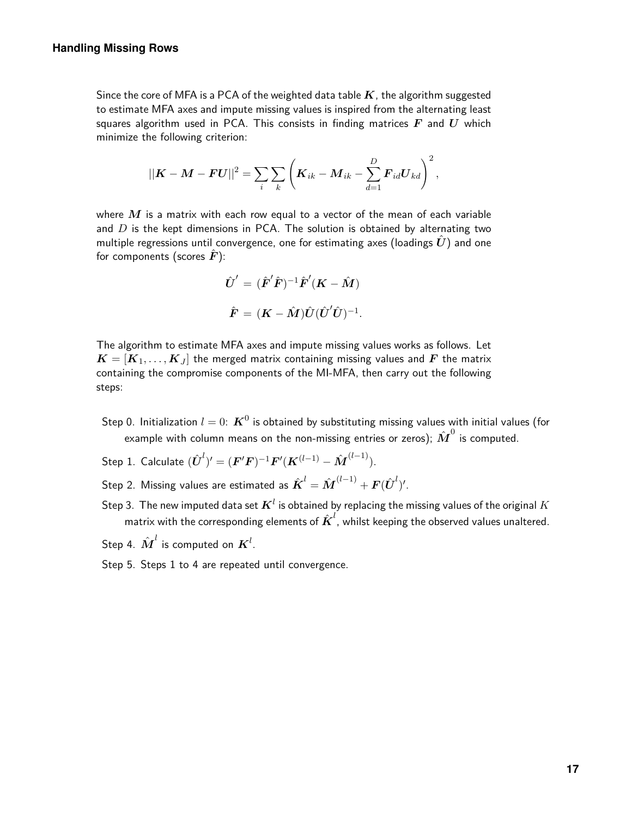Since the core of MFA is a PCA of the weighted data table  $K$ , the algorithm suggested to estimate MFA axes and impute missing values is inspired from the alternating least squares algorithm used in PCA. This consists in finding matrices *F* and *U* which minimize the following criterion:

$$
||\boldsymbol{K}-\boldsymbol{M}-\boldsymbol{F}\boldsymbol{U}||^2=\sum_i\sum_k\left(\boldsymbol{K}_{ik}-\boldsymbol{M}_{ik}-\sum_{d=1}^D\boldsymbol{F}_{id}\boldsymbol{U}_{kd}\right)^2,
$$

where *M* is a matrix with each row equal to a vector of the mean of each variable and *D* is the kept dimensions in PCA. The solution is obtained by alternating two multiple regressions until convergence, one for estimating axes (loadings  $U$ ) and one for components (scores  $\hat{F}$ ):

$$
\hat{U}' = (\hat{\boldsymbol{F}}' \hat{\boldsymbol{F}})^{-1} \hat{\boldsymbol{F}}' (\boldsymbol{K} - \hat{\boldsymbol{M}})
$$

$$
\hat{\boldsymbol{F}} = (\boldsymbol{K} - \hat{\boldsymbol{M}}) \hat{\boldsymbol{U}} (\hat{\boldsymbol{U}}' \hat{\boldsymbol{U}})^{-1}.
$$

The algorithm to estimate MFA axes and impute missing values works as follows. Let  $\boldsymbol{K} = [\boldsymbol{K}_1, \dots, \boldsymbol{K}_J]$  the merged matrix containing missing values and  $\boldsymbol{F}$  the matrix containing the compromise components of the MI-MFA, then carry out the following steps:

- Step 0. Initialization  $l=0{:}^{\mathbf{K}^0}$  is obtained by substituting missing values with initial values (for example with column means on the non-missing entries or zeros);  $\hat{\bm{M}}^0$  is computed.
- $\mathsf{Step\ 1.}\ \mathsf{Calculate}\ (\hat{\bm{U}}^{l})' = (\bm{F}'\bm{F})^{-1}\bm{F}'(\bm{K}^{(l-1)} \hat{\bm{M}}^{(l-1)}).$
- Step 2. Missing values are estimated as  $\hat{\boldsymbol{K}}^{l}=\hat{\boldsymbol{M}}^{(l-1)}+\boldsymbol{F}(\hat{\boldsymbol{U}}^{l})'.$
- Step 3. The new imputed data set  $\boldsymbol{K}^l$  is obtained by replacing the missing values of the original  $K$ matrix with the corresponding elements of  $\hat{\boldsymbol{K}}^l$ , whilst keeping the observed values unaltered.
- Step 4.  $\hat{\textbf{M}}^{l}$  is computed on  $\textbf{\textit{K}}^{l}.$
- Step 5. Steps 1 to 4 are repeated until convergence.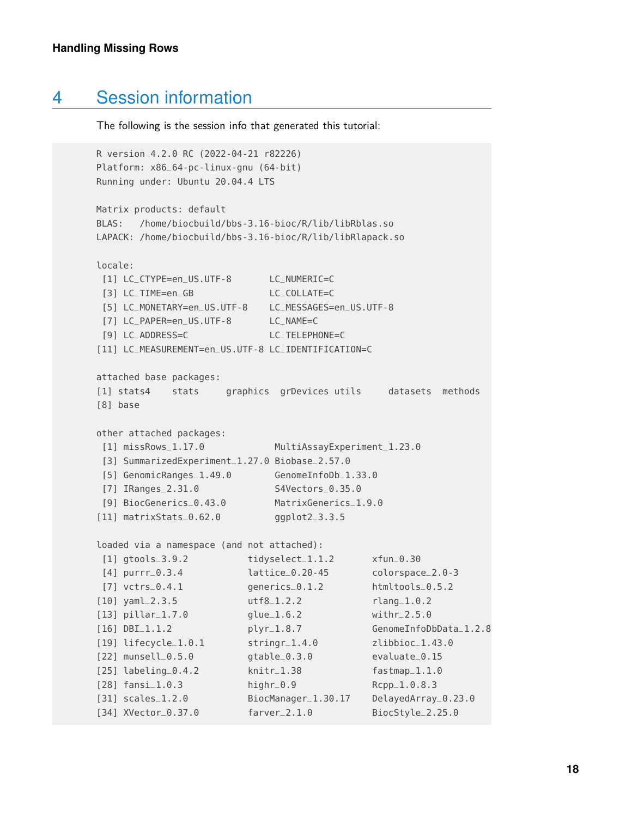# 4 Session information

<span id="page-17-0"></span>The following is the session info that generated this tutorial:

```
R version 4.2.0 RC (2022-04-21 r82226)
Platform: x86_64-pc-linux-gnu (64-bit)
Running under: Ubuntu 20.04.4 LTS
Matrix products: default
BLAS: /home/biocbuild/bbs-3.16-bioc/R/lib/libRblas.so
LAPACK: /home/biocbuild/bbs-3.16-bioc/R/lib/libRlapack.so
locale:
[1] LC_CTYPE=en_US.UTF-8 LC_NUMERIC=C
[3] LC_TIME=en_GB LC_COLLATE=C
[5] LC_MONETARY=en_US.UTF-8 LC_MESSAGES=en_US.UTF-8
 [7] LC_PAPER=en_US.UTF-8 LC_NAME=C
[9] LC_ADDRESS=C LC_TELEPHONE=C
[11] LC_MEASUREMENT=en_US.UTF-8 LC_IDENTIFICATION=C
attached base packages:
[1] stats4 stats graphics grDevices utils datasets methods
[8] base
other attached packages:
[1] missRows_1.17.0 MultiAssayExperiment_1.23.0
[3] SummarizedExperiment_1.27.0 Biobase_2.57.0
[5] GenomicRanges_1.49.0 GenomeInfoDb_1.33.0
[7] IRanges_2.31.0 S4Vectors_0.35.0
[9] BiocGenerics_0.43.0 MatrixGenerics_1.9.0
[11] matrixStats_0.62.0 ggplot2_3.3.5
loaded via a namespace (and not attached):
[1] gtools_3.9.2 tidyselect_1.1.2 xfun_0.30
[4] purrr_0.3.4 lattice_0.20-45 colorspace_2.0-3
[7] vctrs_0.4.1 generics_0.1.2 htmltools_0.5.2
[10] yaml_2.3.5 utf8_1.2.2 rlang_1.0.2
[13] pillar_1.7.0 glue_1.6.2 withr_2.5.0
[16] DBI_1.1.2 plyr_1.8.7 GenomeInfoDbData_1.2.8
[19] lifecycle_1.0.1 stringr_1.4.0 zlibbioc_1.43.0
[22] munsell_0.5.0 gtable_0.3.0 evaluate_0.15
[25] labeling_0.4.2 knitr_1.38 fastmap_1.1.0
[28] fansi_1.0.3 highr_0.9 Rcpp_1.0.8.3
[31] scales_1.2.0 BiocManager_1.30.17 DelayedArray_0.23.0
[34] XVector_0.37.0 farver_2.1.0 BiocStyle_2.25.0
```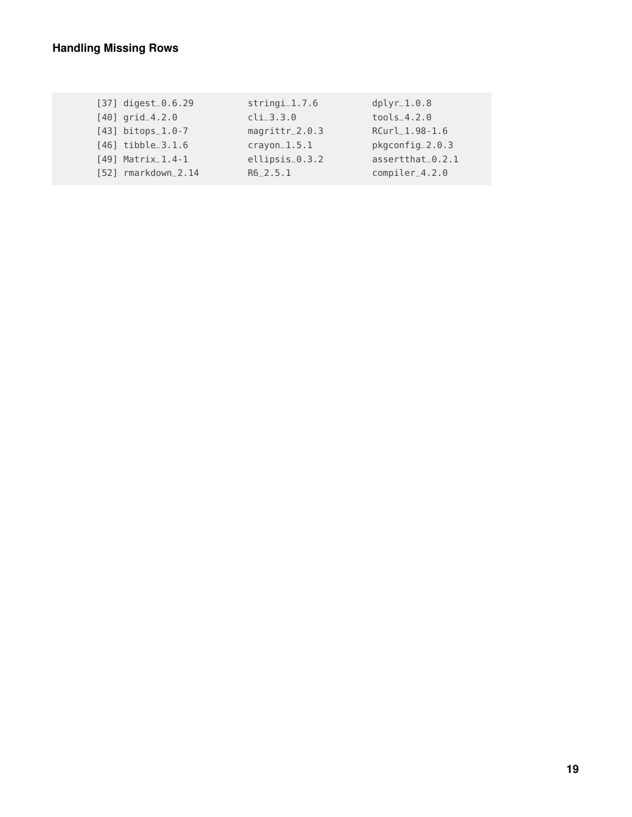| $[37]$ digest_0.6.29            | $stringi_1.7.6$  | $dplyr_1.0.8$    |
|---------------------------------|------------------|------------------|
| $[40]$ grid $4.2.0$             | $cli_3.3.0$      | $tools_4.2.0$    |
| $[43]$ bitops_1.0-7             | $magrittr_2.0.3$ | RCurl_1.98-1.6   |
| $[46]$ tibble $-3.1.6$          | $crayon_1.5.1$   | pkgconfig_2.0.3  |
| $[49]$ Matrix <sub>-1.4-1</sub> | ellipsis_0.3.2   | assertthat_0.2.1 |
| $[52]$ rmarkdown $-2.14$        | $R6_2.5.1$       | $complier_4.2.0$ |